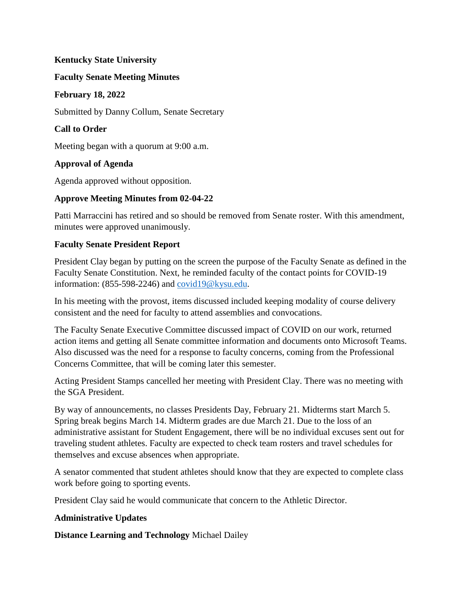#### **Kentucky State University**

#### **Faculty Senate Meeting Minutes**

#### **February 18, 2022**

Submitted by Danny Collum, Senate Secretary

## **Call to Order**

Meeting began with a quorum at 9:00 a.m.

# **Approval of Agenda**

Agenda approved without opposition.

## **Approve Meeting Minutes from 02-04-22**

Patti Marraccini has retired and so should be removed from Senate roster. With this amendment, minutes were approved unanimously.

## **Faculty Senate President Report**

President Clay began by putting on the screen the purpose of the Faculty Senate as defined in the Faculty Senate Constitution. Next, he reminded faculty of the contact points for COVID-19 information: (855-598-2246) and [covid19@kysu.edu.](mailto:covid19@kysu.edu)

In his meeting with the provost, items discussed included keeping modality of course delivery consistent and the need for faculty to attend assemblies and convocations.

The Faculty Senate Executive Committee discussed impact of COVID on our work, returned action items and getting all Senate committee information and documents onto Microsoft Teams. Also discussed was the need for a response to faculty concerns, coming from the Professional Concerns Committee, that will be coming later this semester.

Acting President Stamps cancelled her meeting with President Clay. There was no meeting with the SGA President.

By way of announcements, no classes Presidents Day, February 21. Midterms start March 5. Spring break begins March 14. Midterm grades are due March 21. Due to the loss of an administrative assistant for Student Engagement, there will be no individual excuses sent out for traveling student athletes. Faculty are expected to check team rosters and travel schedules for themselves and excuse absences when appropriate.

A senator commented that student athletes should know that they are expected to complete class work before going to sporting events.

President Clay said he would communicate that concern to the Athletic Director.

## **Administrative Updates**

**Distance Learning and Technology** Michael Dailey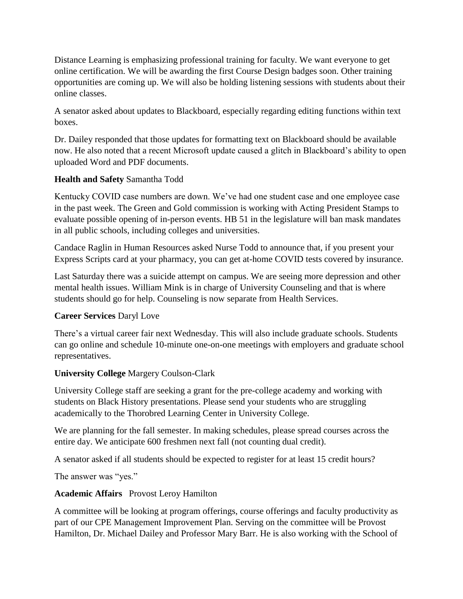Distance Learning is emphasizing professional training for faculty. We want everyone to get online certification. We will be awarding the first Course Design badges soon. Other training opportunities are coming up. We will also be holding listening sessions with students about their online classes.

A senator asked about updates to Blackboard, especially regarding editing functions within text boxes.

Dr. Dailey responded that those updates for formatting text on Blackboard should be available now. He also noted that a recent Microsoft update caused a glitch in Blackboard's ability to open uploaded Word and PDF documents.

## **Health and Safety** Samantha Todd

Kentucky COVID case numbers are down. We've had one student case and one employee case in the past week. The Green and Gold commission is working with Acting President Stamps to evaluate possible opening of in-person events. HB 51 in the legislature will ban mask mandates in all public schools, including colleges and universities.

Candace Raglin in Human Resources asked Nurse Todd to announce that, if you present your Express Scripts card at your pharmacy, you can get at-home COVID tests covered by insurance.

Last Saturday there was a suicide attempt on campus. We are seeing more depression and other mental health issues. William Mink is in charge of University Counseling and that is where students should go for help. Counseling is now separate from Health Services.

# **Career Services** Daryl Love

There's a virtual career fair next Wednesday. This will also include graduate schools. Students can go online and schedule 10-minute one-on-one meetings with employers and graduate school representatives.

## **University College** Margery Coulson-Clark

University College staff are seeking a grant for the pre-college academy and working with students on Black History presentations. Please send your students who are struggling academically to the Thorobred Learning Center in University College.

We are planning for the fall semester. In making schedules, please spread courses across the entire day. We anticipate 600 freshmen next fall (not counting dual credit).

A senator asked if all students should be expected to register for at least 15 credit hours?

The answer was "yes."

## **Academic Affairs** Provost Leroy Hamilton

A committee will be looking at program offerings, course offerings and faculty productivity as part of our CPE Management Improvement Plan. Serving on the committee will be Provost Hamilton, Dr. Michael Dailey and Professor Mary Barr. He is also working with the School of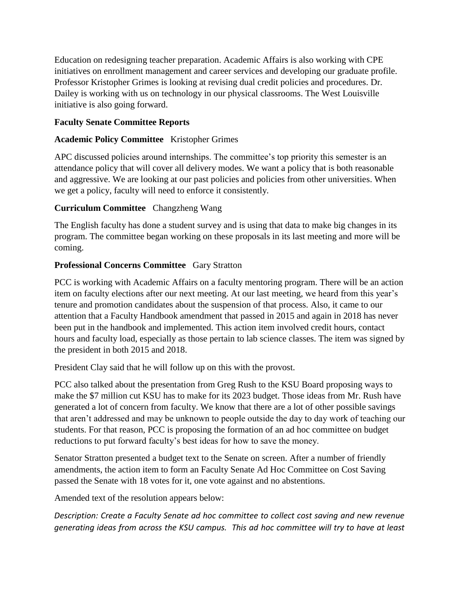Education on redesigning teacher preparation. Academic Affairs is also working with CPE initiatives on enrollment management and career services and developing our graduate profile. Professor Kristopher Grimes is looking at revising dual credit policies and procedures. Dr. Dailey is working with us on technology in our physical classrooms. The West Louisville initiative is also going forward.

# **Faculty Senate Committee Reports**

# **Academic Policy Committee** Kristopher Grimes

APC discussed policies around internships. The committee's top priority this semester is an attendance policy that will cover all delivery modes. We want a policy that is both reasonable and aggressive. We are looking at our past policies and policies from other universities. When we get a policy, faculty will need to enforce it consistently.

# **Curriculum Committee** Changzheng Wang

The English faculty has done a student survey and is using that data to make big changes in its program. The committee began working on these proposals in its last meeting and more will be coming.

# **Professional Concerns Committee** Gary Stratton

PCC is working with Academic Affairs on a faculty mentoring program. There will be an action item on faculty elections after our next meeting. At our last meeting, we heard from this year's tenure and promotion candidates about the suspension of that process. Also, it came to our attention that a Faculty Handbook amendment that passed in 2015 and again in 2018 has never been put in the handbook and implemented. This action item involved credit hours, contact hours and faculty load, especially as those pertain to lab science classes. The item was signed by the president in both 2015 and 2018.

President Clay said that he will follow up on this with the provost.

PCC also talked about the presentation from Greg Rush to the KSU Board proposing ways to make the \$7 million cut KSU has to make for its 2023 budget. Those ideas from Mr. Rush have generated a lot of concern from faculty. We know that there are a lot of other possible savings that aren't addressed and may be unknown to people outside the day to day work of teaching our students. For that reason, PCC is proposing the formation of an ad hoc committee on budget reductions to put forward faculty's best ideas for how to save the money.

Senator Stratton presented a budget text to the Senate on screen. After a number of friendly amendments, the action item to form an Faculty Senate Ad Hoc Committee on Cost Saving passed the Senate with 18 votes for it, one vote against and no abstentions.

Amended text of the resolution appears below:

*Description: Create a Faculty Senate ad hoc committee to collect cost saving and new revenue generating ideas from across the KSU campus. This ad hoc committee will try to have at least*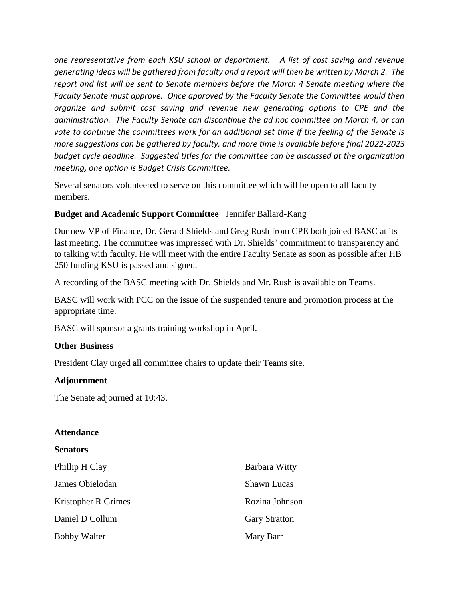*one representative from each KSU school or department. A list of cost saving and revenue generating ideas will be gathered from faculty and a report will then be written by March 2. The report and list will be sent to Senate members before the March 4 Senate meeting where the Faculty Senate must approve. Once approved by the Faculty Senate the Committee would then organize and submit cost saving and revenue new generating options to CPE and the administration. The Faculty Senate can discontinue the ad hoc committee on March 4, or can vote to continue the committees work for an additional set time if the feeling of the Senate is more suggestions can be gathered by faculty, and more time is available before final 2022-2023 budget cycle deadline. Suggested titles for the committee can be discussed at the organization meeting, one option is Budget Crisis Committee.*

Several senators volunteered to serve on this committee which will be open to all faculty members.

## **Budget and Academic Support Committee** Jennifer Ballard-Kang

Our new VP of Finance, Dr. Gerald Shields and Greg Rush from CPE both joined BASC at its last meeting. The committee was impressed with Dr. Shields' commitment to transparency and to talking with faculty. He will meet with the entire Faculty Senate as soon as possible after HB 250 funding KSU is passed and signed.

A recording of the BASC meeting with Dr. Shields and Mr. Rush is available on Teams.

BASC will work with PCC on the issue of the suspended tenure and promotion process at the appropriate time.

BASC will sponsor a grants training workshop in April.

## **Other Business**

President Clay urged all committee chairs to update their Teams site.

#### **Adjournment**

The Senate adjourned at 10:43.

#### **Attendance**

#### **Senators**

| Phillip H Clay      | Barbara Witty        |
|---------------------|----------------------|
| James Obielodan     | <b>Shawn Lucas</b>   |
| Kristopher R Grimes | Rozina Johnson       |
| Daniel D Collum     | <b>Gary Stratton</b> |
| <b>Bobby Walter</b> | Mary Barr            |